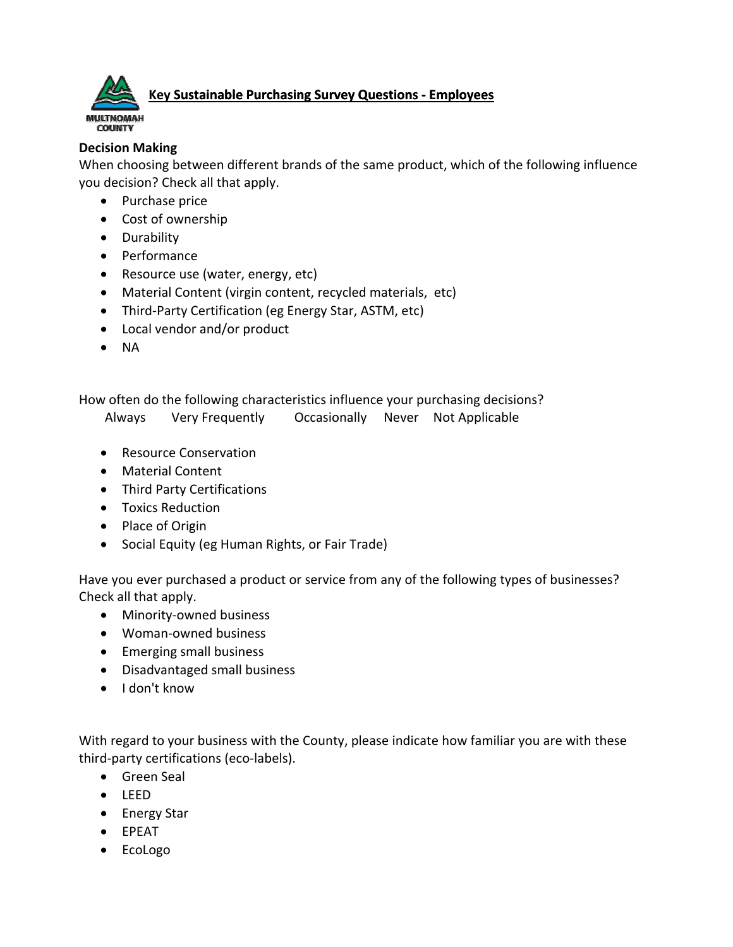

## **Key Sustainable Purchasing Survey Questions ‐ Employees**

## **Decision Making**

When choosing between different brands of the same product, which of the following influence you decision? Check all that apply.

- Purchase price
- Cost of ownership
- Durability
- Performance
- Resource use (water, energy, etc)
- Material Content (virgin content, recycled materials, etc)
- Third-Party Certification (eg Energy Star, ASTM, etc)
- Local vendor and/or product
- $\bullet$  NA

How often do the following characteristics influence your purchasing decisions?

- Always Very Frequently Occasionally Never Not Applicable
- Resource Conservation
- Material Content
- Third Party Certifications
- **•** Toxics Reduction
- Place of Origin
- Social Equity (eg Human Rights, or Fair Trade)

Have you ever purchased a product or service from any of the following types of businesses? Check all that apply.

- Minority-owned business
- Woman‐owned business
- Emerging small business
- Disadvantaged small business
- I don't know

With regard to your business with the County, please indicate how familiar you are with these third‐party certifications (eco‐labels).

- **•** Green Seal
- LEED
- Energy Star
- EPEAT
- EcoLogo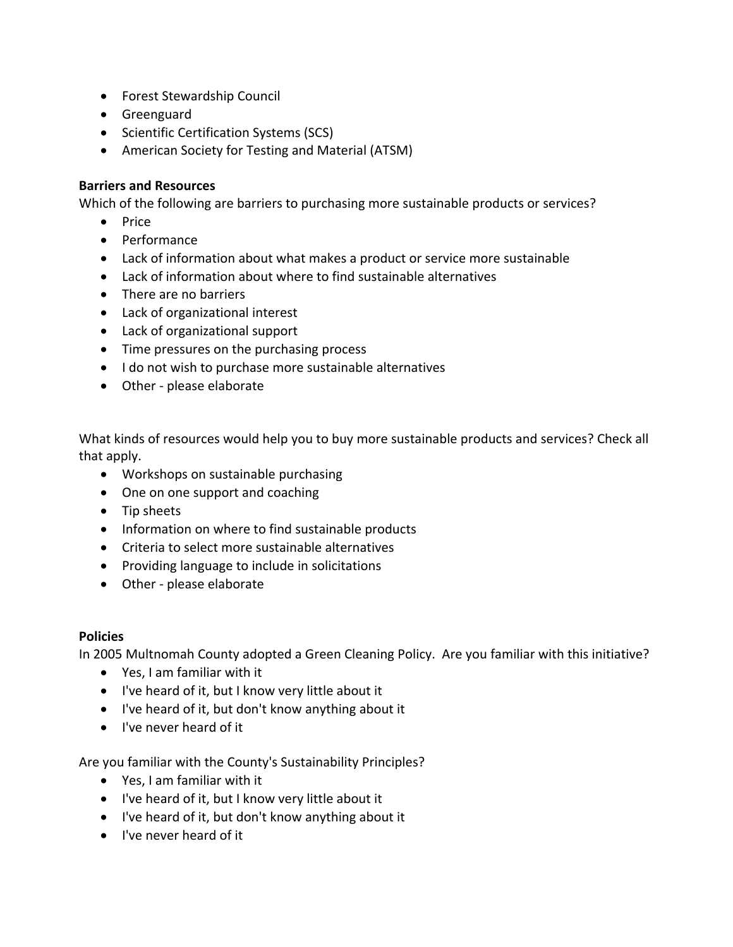- Forest Stewardship Council
- **•** Greenguard
- Scientific Certification Systems (SCS)
- American Society for Testing and Material (ATSM)

## **Barriers and Resources**

Which of the following are barriers to purchasing more sustainable products or services?

- Price
- Performance
- Lack of information about what makes a product or service more sustainable
- Lack of information about where to find sustainable alternatives
- There are no barriers
- Lack of organizational interest
- Lack of organizational support
- Time pressures on the purchasing process
- I do not wish to purchase more sustainable alternatives
- Other please elaborate

What kinds of resources would help you to buy more sustainable products and services? Check all that apply.

- Workshops on sustainable purchasing
- One on one support and coaching
- Tip sheets
- Information on where to find sustainable products
- Criteria to select more sustainable alternatives
- Providing language to include in solicitations
- Other please elaborate

## **Policies**

In 2005 Multnomah County adopted a Green Cleaning Policy. Are you familiar with this initiative?

- Yes, I am familiar with it
- I've heard of it, but I know very little about it
- I've heard of it, but don't know anything about it
- I've never heard of it

Are you familiar with the County's Sustainability Principles?

- Yes, I am familiar with it
- I've heard of it, but I know very little about it
- I've heard of it, but don't know anything about it
- I've never heard of it